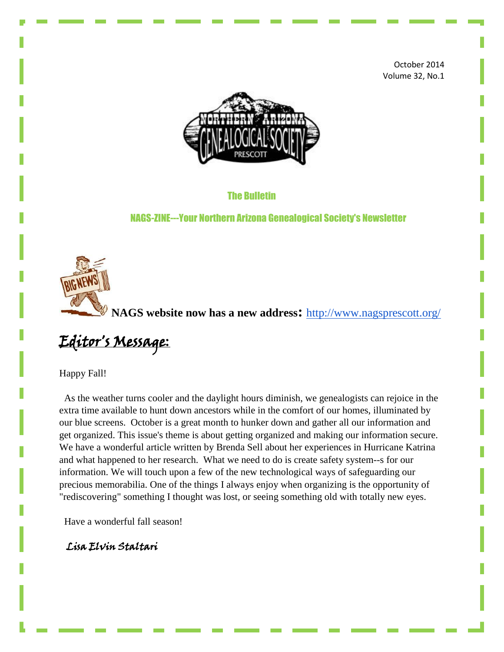October 2014 Volume 32, No.1



The Bulletin

NAGS-ZINE---Your Northern Arizona Genealogical Society's Newsletter



**NAGS website now has a new address:** <http://www.nagsprescott.org/>

Editor's Message:

Happy Fall!

 As the weather turns cooler and the daylight hours diminish, we genealogists can rejoice in the extra time available to hunt down ancestors while in the comfort of our homes, illuminated by our blue screens. October is a great month to hunker down and gather all our information and get organized. This issue's theme is about getting organized and making our information secure. We have a wonderful article written by Brenda Sell about her experiences in Hurricane Katrina and what happened to her research. What we need to do is create safety system--s for our information. We will touch upon a few of the new technological ways of safeguarding our precious memorabilia. One of the things I always enjoy when organizing is the opportunity of "rediscovering" something I thought was lost, or seeing something old with totally new eyes.

Have a wonderful fall season!

Lisa Elvin Staltari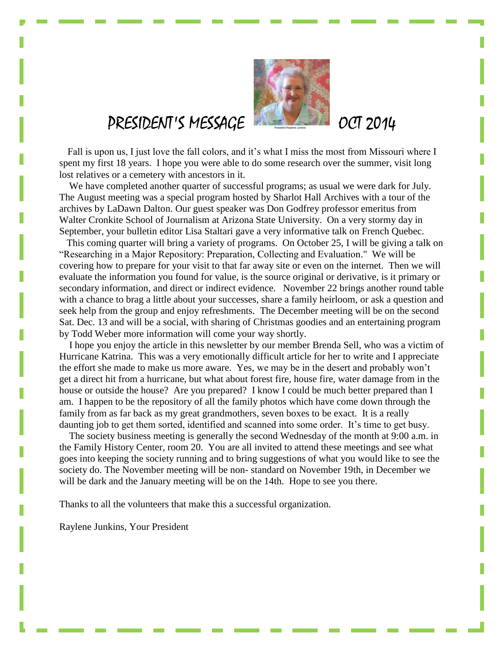

# PRESIDENT'S MESSAGE **COMPANY** OCT 2014

 Fall is upon us, I just love the fall colors, and it's what I miss the most from Missouri where I spent my first 18 years. I hope you were able to do some research over the summer, visit long lost relatives or a cemetery with ancestors in it.

We have completed another quarter of successful programs; as usual we were dark for July. The August meeting was a special program hosted by Sharlot Hall Archives with a tour of the archives by LaDawn Dalton. Our guest speaker was Don Godfrey professor emeritus from Walter Cronkite School of Journalism at Arizona State University. On a very stormy day in September, your bulletin editor Lisa Staltari gave a very informative talk on French Quebec.

 This coming quarter will bring a variety of programs. On October 25, I will be giving a talk on "Researching in a Major Repository: Preparation, Collecting and Evaluation." We will be covering how to prepare for your visit to that far away site or even on the internet. Then we will evaluate the information you found for value, is the source original or derivative, is it primary or secondary information, and direct or indirect evidence. November 22 brings another round table with a chance to brag a little about your successes, share a family heirloom, or ask a question and seek help from the group and enjoy refreshments. The December meeting will be on the second Sat. Dec. 13 and will be a social, with sharing of Christmas goodies and an entertaining program by Todd Weber more information will come your way shortly.

 I hope you enjoy the article in this newsletter by our member Brenda Sell, who was a victim of Hurricane Katrina. This was a very emotionally difficult article for her to write and I appreciate the effort she made to make us more aware. Yes, we may be in the desert and probably won't get a direct hit from a hurricane, but what about forest fire, house fire, water damage from in the house or outside the house? Are you prepared? I know I could be much better prepared than I am. I happen to be the repository of all the family photos which have come down through the family from as far back as my great grandmothers, seven boxes to be exact. It is a really daunting job to get them sorted, identified and scanned into some order. It's time to get busy.

 The society business meeting is generally the second Wednesday of the month at 9:00 a.m. in the Family History Center, room 20. You are all invited to attend these meetings and see what goes into keeping the society running and to bring suggestions of what you would like to see the society do. The November meeting will be non- standard on November 19th, in December we will be dark and the January meeting will be on the 14th. Hope to see you there.

Thanks to all the volunteers that make this a successful organization.

Raylene Junkins, Your President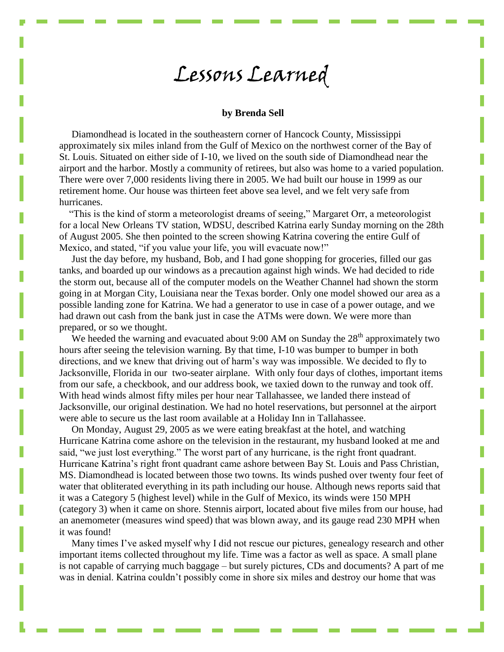# Lessons Learned

#### **by Brenda Sell**

 Diamondhead is located in the southeastern corner of Hancock County, Mississippi approximately six miles inland from the Gulf of Mexico on the northwest corner of the Bay of St. Louis. Situated on either side of I-10, we lived on the south side of Diamondhead near the airport and the harbor. Mostly a community of retirees, but also was home to a varied population. There were over 7,000 residents living there in 2005. We had built our house in 1999 as our retirement home. Our house was thirteen feet above sea level, and we felt very safe from hurricanes.

 "This is the kind of storm a meteorologist dreams of seeing," Margaret Orr, a meteorologist for a local New Orleans TV station, WDSU, described Katrina early Sunday morning on the 28th of August 2005. She then pointed to the screen showing Katrina covering the entire Gulf of Mexico, and stated, "if you value your life, you will evacuate now!"

 Just the day before, my husband, Bob, and I had gone shopping for groceries, filled our gas tanks, and boarded up our windows as a precaution against high winds. We had decided to ride the storm out, because all of the computer models on the Weather Channel had shown the storm going in at Morgan City, Louisiana near the Texas border. Only one model showed our area as a possible landing zone for Katrina. We had a generator to use in case of a power outage, and we had drawn out cash from the bank just in case the ATMs were down. We were more than prepared, or so we thought.

We heeded the warning and evacuated about 9:00 AM on Sunday the  $28<sup>th</sup>$  approximately two hours after seeing the television warning. By that time, I-10 was bumper to bumper in both directions, and we knew that driving out of harm's way was impossible. We decided to fly to Jacksonville, Florida in our two-seater airplane. With only four days of clothes, important items from our safe, a checkbook, and our address book, we taxied down to the runway and took off. With head winds almost fifty miles per hour near Tallahassee, we landed there instead of Jacksonville, our original destination. We had no hotel reservations, but personnel at the airport were able to secure us the last room available at a Holiday Inn in Tallahassee.

 On Monday, August 29, 2005 as we were eating breakfast at the hotel, and watching Hurricane Katrina come ashore on the television in the restaurant, my husband looked at me and said, "we just lost everything." The worst part of any hurricane, is the right front quadrant. Hurricane Katrina's right front quadrant came ashore between Bay St. Louis and Pass Christian, MS. Diamondhead is located between those two towns. Its winds pushed over twenty four feet of water that obliterated everything in its path including our house. Although news reports said that it was a Category 5 (highest level) while in the Gulf of Mexico, its winds were 150 MPH (category 3) when it came on shore. Stennis airport, located about five miles from our house, had an anemometer (measures wind speed) that was blown away, and its gauge read 230 MPH when it was found!

 Many times I've asked myself why I did not rescue our pictures, genealogy research and other important items collected throughout my life. Time was a factor as well as space. A small plane is not capable of carrying much baggage – but surely pictures, CDs and documents? A part of me was in denial. Katrina couldn't possibly come in shore six miles and destroy our home that was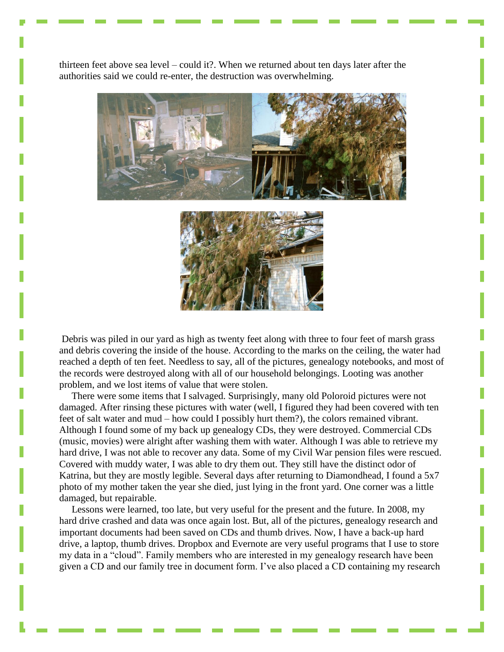thirteen feet above sea level – could it?. When we returned about ten days later after the authorities said we could re-enter, the destruction was overwhelming.





Debris was piled in our yard as high as twenty feet along with three to four feet of marsh grass and debris covering the inside of the house. According to the marks on the ceiling, the water had reached a depth of ten feet. Needless to say, all of the pictures, genealogy notebooks, and most of the records were destroyed along with all of our household belongings. Looting was another problem, and we lost items of value that were stolen.

 There were some items that I salvaged. Surprisingly, many old Poloroid pictures were not damaged. After rinsing these pictures with water (well, I figured they had been covered with ten feet of salt water and mud – how could I possibly hurt them?), the colors remained vibrant. Although I found some of my back up genealogy CDs, they were destroyed. Commercial CDs (music, movies) were alright after washing them with water. Although I was able to retrieve my hard drive, I was not able to recover any data. Some of my Civil War pension files were rescued. Covered with muddy water, I was able to dry them out. They still have the distinct odor of Katrina, but they are mostly legible. Several days after returning to Diamondhead, I found a 5x7 photo of my mother taken the year she died, just lying in the front yard. One corner was a little damaged, but repairable.

 Lessons were learned, too late, but very useful for the present and the future. In 2008, my hard drive crashed and data was once again lost. But, all of the pictures, genealogy research and important documents had been saved on CDs and thumb drives. Now, I have a back-up hard drive, a laptop, thumb drives. Dropbox and Evernote are very useful programs that I use to store my data in a "cloud". Family members who are interested in my genealogy research have been given a CD and our family tree in document form. I've also placed a CD containing my research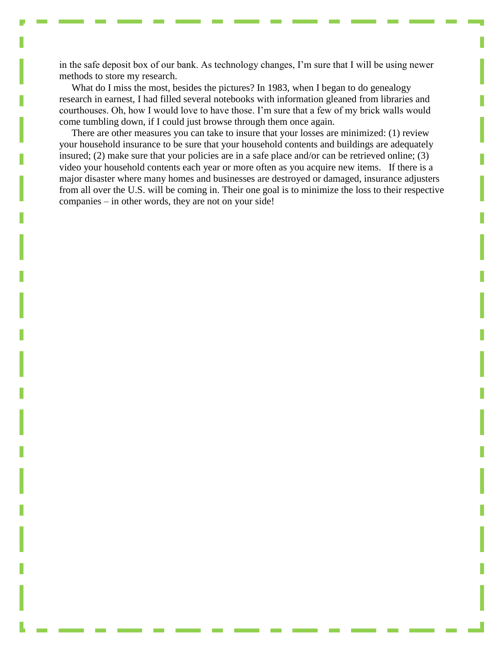in the safe deposit box of our bank. As technology changes, I'm sure that I will be using newer methods to store my research.

 What do I miss the most, besides the pictures? In 1983, when I began to do genealogy research in earnest, I had filled several notebooks with information gleaned from libraries and courthouses. Oh, how I would love to have those. I'm sure that a few of my brick walls would come tumbling down, if I could just browse through them once again.

 There are other measures you can take to insure that your losses are minimized: (1) review your household insurance to be sure that your household contents and buildings are adequately insured; (2) make sure that your policies are in a safe place and/or can be retrieved online; (3) video your household contents each year or more often as you acquire new items. If there is a major disaster where many homes and businesses are destroyed or damaged, insurance adjusters from all over the U.S. will be coming in. Their one goal is to minimize the loss to their respective companies – in other words, they are not on your side!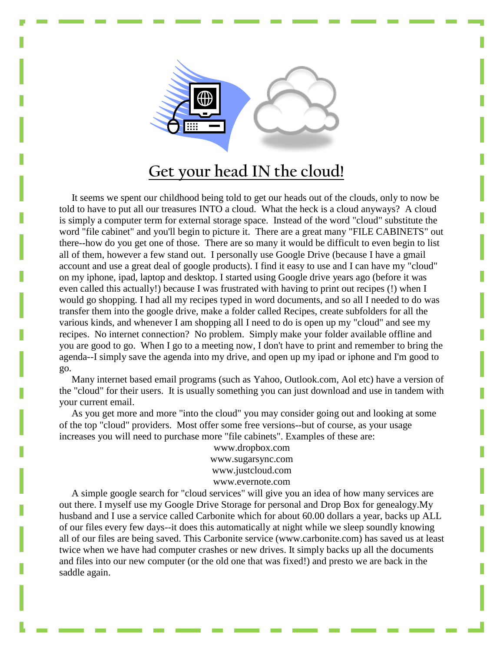

## **Get your head IN the cloud!**

 It seems we spent our childhood being told to get our heads out of the clouds, only to now be told to have to put all our treasures INTO a cloud. What the heck is a cloud anyways? A cloud is simply a computer term for external storage space. Instead of the word "cloud" substitute the word "file cabinet" and you'll begin to picture it. There are a great many "FILE CABINETS" out there--how do you get one of those. There are so many it would be difficult to even begin to list all of them, however a few stand out. I personally use Google Drive (because I have a gmail account and use a great deal of google products). I find it easy to use and I can have my "cloud" on my iphone, ipad, laptop and desktop. I started using Google drive years ago (before it was even called this actually!) because I was frustrated with having to print out recipes (!) when I would go shopping. I had all my recipes typed in word documents, and so all I needed to do was transfer them into the google drive, make a folder called Recipes, create subfolders for all the various kinds, and whenever I am shopping all I need to do is open up my "cloud" and see my recipes. No internet connection? No problem. Simply make your folder available offline and you are good to go. When I go to a meeting now, I don't have to print and remember to bring the agenda--I simply save the agenda into my drive, and open up my ipad or iphone and I'm good to go.

 Many internet based email programs (such as Yahoo, Outlook.com, Aol etc) have a version of the "cloud" for their users. It is usually something you can just download and use in tandem with your current email.

 As you get more and more "into the cloud" you may consider going out and looking at some of the top "cloud" providers. Most offer some free versions--but of course, as your usage increases you will need to purchase more "file cabinets". Examples of these are:

> www.dropbox.com www.sugarsync.com www.justcloud.com www.evernote.com

 A simple google search for "cloud services" will give you an idea of how many services are out there. I myself use my Google Drive Storage for personal and Drop Box for genealogy.My husband and I use a service called Carbonite which for about 60.00 dollars a year, backs up ALL of our files every few days--it does this automatically at night while we sleep soundly knowing all of our files are being saved. This Carbonite service (www.carbonite.com) has saved us at least twice when we have had computer crashes or new drives. It simply backs up all the documents and files into our new computer (or the old one that was fixed!) and presto we are back in the saddle again.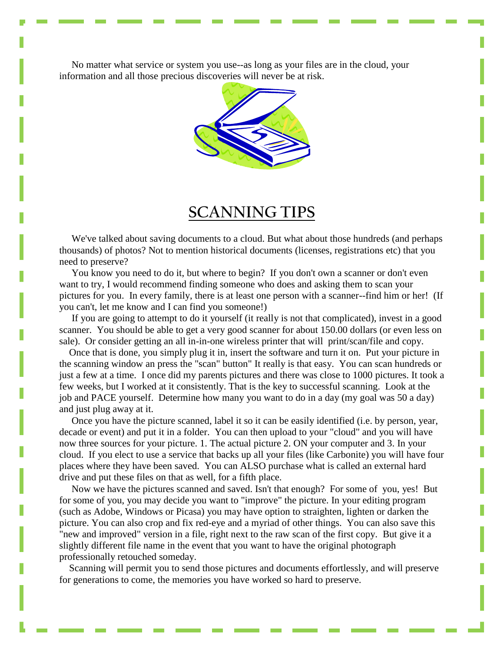No matter what service or system you use--as long as your files are in the cloud, your information and all those precious discoveries will never be at risk.



## **SCANNING TIPS**

 We've talked about saving documents to a cloud. But what about those hundreds (and perhaps thousands) of photos? Not to mention historical documents (licenses, registrations etc) that you need to preserve?

 You know you need to do it, but where to begin? If you don't own a scanner or don't even want to try, I would recommend finding someone who does and asking them to scan your pictures for you. In every family, there is at least one person with a scanner--find him or her! (If you can't, let me know and I can find you someone!)

 If you are going to attempt to do it yourself (it really is not that complicated), invest in a good scanner. You should be able to get a very good scanner for about 150.00 dollars (or even less on sale). Or consider getting an all in-in-one wireless printer that will print/scan/file and copy.

 Once that is done, you simply plug it in, insert the software and turn it on. Put your picture in the scanning window an press the "scan" button" It really is that easy. You can scan hundreds or just a few at a time. I once did my parents pictures and there was close to 1000 pictures. It took a few weeks, but I worked at it consistently. That is the key to successful scanning. Look at the job and PACE yourself. Determine how many you want to do in a day (my goal was 50 a day) and just plug away at it.

 Once you have the picture scanned, label it so it can be easily identified (i.e. by person, year, decade or event) and put it in a folder. You can then upload to your "cloud" and you will have now three sources for your picture. 1. The actual picture 2. ON your computer and 3. In your cloud. If you elect to use a service that backs up all your files (like Carbonite) you will have four places where they have been saved. You can ALSO purchase what is called an external hard drive and put these files on that as well, for a fifth place.

 Now we have the pictures scanned and saved. Isn't that enough? For some of you, yes! But for some of you, you may decide you want to "improve" the picture. In your editing program (such as Adobe, Windows or Picasa) you may have option to straighten, lighten or darken the picture. You can also crop and fix red-eye and a myriad of other things. You can also save this "new and improved" version in a file, right next to the raw scan of the first copy. But give it a slightly different file name in the event that you want to have the original photograph professionally retouched someday.

 Scanning will permit you to send those pictures and documents effortlessly, and will preserve for generations to come, the memories you have worked so hard to preserve.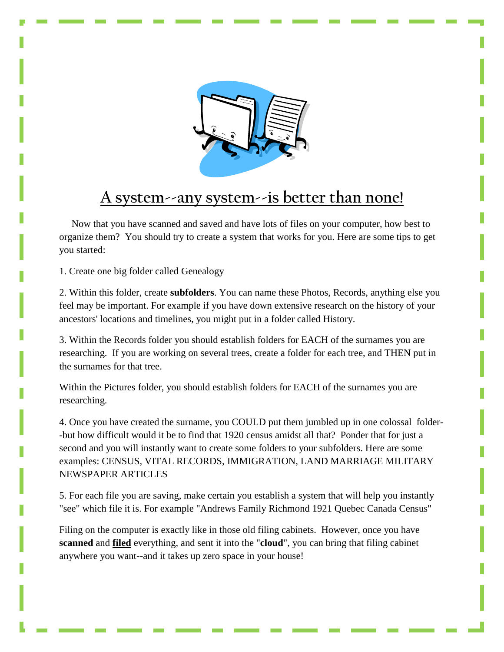

## **A system--any system--is better than none!**

 Now that you have scanned and saved and have lots of files on your computer, how best to organize them? You should try to create a system that works for you. Here are some tips to get you started:

1. Create one big folder called Genealogy

2. Within this folder, create **subfolders**. You can name these Photos, Records, anything else you feel may be important. For example if you have down extensive research on the history of your ancestors' locations and timelines, you might put in a folder called History.

3. Within the Records folder you should establish folders for EACH of the surnames you are researching. If you are working on several trees, create a folder for each tree, and THEN put in the surnames for that tree.

Within the Pictures folder, you should establish folders for EACH of the surnames you are researching.

4. Once you have created the surname, you COULD put them jumbled up in one colossal folder- -but how difficult would it be to find that 1920 census amidst all that? Ponder that for just a second and you will instantly want to create some folders to your subfolders. Here are some examples: CENSUS, VITAL RECORDS, IMMIGRATION, LAND MARRIAGE MILITARY NEWSPAPER ARTICLES

5. For each file you are saving, make certain you establish a system that will help you instantly "see" which file it is. For example "Andrews Family Richmond 1921 Quebec Canada Census"

Filing on the computer is exactly like in those old filing cabinets. However, once you have **scanned** and **filed** everything, and sent it into the "**cloud**", you can bring that filing cabinet anywhere you want--and it takes up zero space in your house!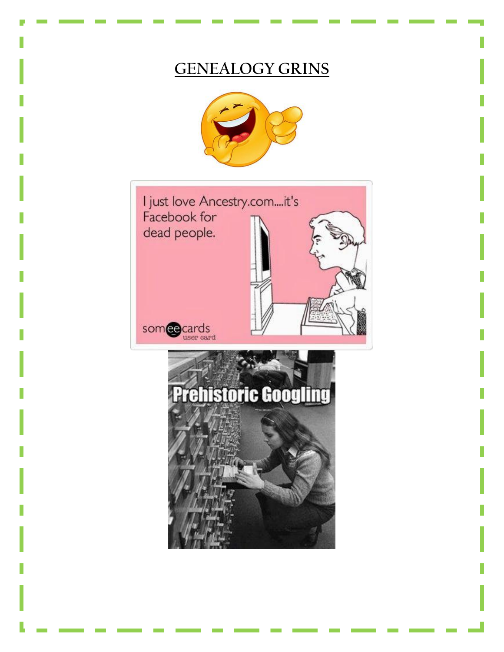# **GENEALOGY GRINS**



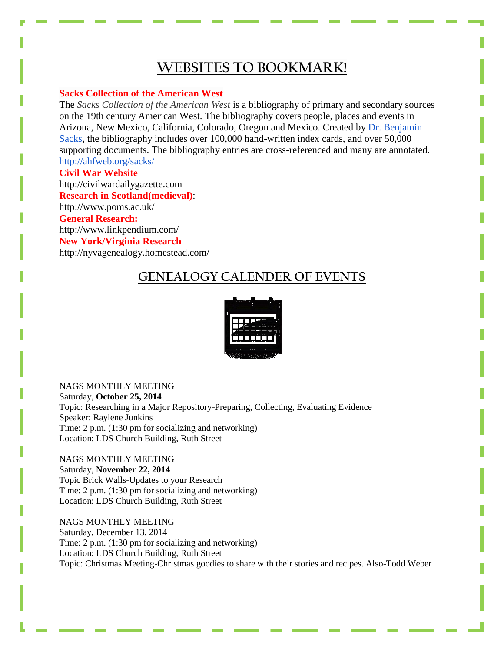### **WEBSITES TO BOOKMARK!**

#### **Sacks Collection of the American West**

The *Sacks Collection of the American West* is a bibliography of primary and secondary sources on the 19th century American West. The bibliography covers people, places and events in Arizona, New Mexico, California, Colorado, Oregon and Mexico. Created by [Dr. Benjamin](http://www.ahfweb.org/collections_sacksbio.html)  [Sacks,](http://www.ahfweb.org/collections_sacksbio.html) the bibliography includes over 100,000 hand-written index cards, and over 50,000 supporting documents. The bibliography entries are cross-referenced and many are annotated. <http://ahfweb.org/sacks/>

#### **Civil War Website**

http://civilwardailygazette.com **Research in Scotland(medieval)**: http://www.poms.ac.uk/ **General Research:** http://www.linkpendium.com/ **New York/Virginia Research** http://nyvagenealogy.homestead.com/

### **GENEALOGY CALENDER OF EVENTS**



#### NAGS MONTHLY MEETING

Saturday, **October 25, 2014** Topic: Researching in a Major Repository-Preparing, Collecting, Evaluating Evidence Speaker: Raylene Junkins Time: 2 p.m. (1:30 pm for socializing and networking) Location: LDS Church Building, Ruth Street

#### NAGS MONTHLY MEETING Saturday, **November 22, 2014** Topic Brick Walls-Updates to your Research Time: 2 p.m. (1:30 pm for socializing and networking) Location: LDS Church Building, Ruth Street

NAGS MONTHLY MEETING Saturday, December 13, 2014 Time: 2 p.m. (1:30 pm for socializing and networking) Location: LDS Church Building, Ruth Street Topic: Christmas Meeting-Christmas goodies to share with their stories and recipes. Also-Todd Weber